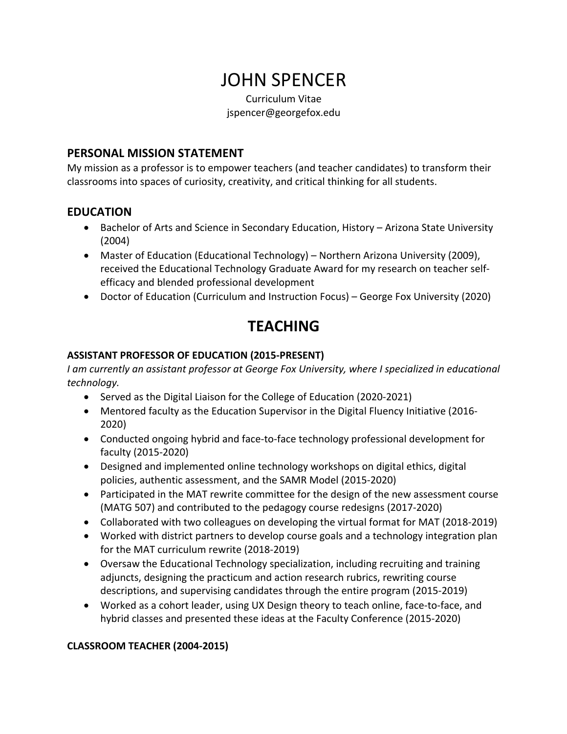# JOHN SPENCER

Curriculum Vitae jspencer@georgefox.edu

#### **PERSONAL MISSION STATEMENT**

My mission as a professor is to empower teachers (and teacher candidates) to transform their classrooms into spaces of curiosity, creativity, and critical thinking for all students.

#### **EDUCATION**

- Bachelor of Arts and Science in Secondary Education, History Arizona State University (2004)
- Master of Education (Educational Technology) Northern Arizona University (2009), received the Educational Technology Graduate Award for my research on teacher selfefficacy and blended professional development
- Doctor of Education (Curriculum and Instruction Focus) George Fox University (2020)

## **TEACHING**

#### **ASSISTANT PROFESSOR OF EDUCATION (2015-PRESENT)**

*I am currently an assistant professor at George Fox University, where I specialized in educational technology.* 

- Served as the Digital Liaison for the College of Education (2020-2021)
- Mentored faculty as the Education Supervisor in the Digital Fluency Initiative (2016- 2020)
- Conducted ongoing hybrid and face-to-face technology professional development for faculty (2015-2020)
- Designed and implemented online technology workshops on digital ethics, digital policies, authentic assessment, and the SAMR Model (2015-2020)
- Participated in the MAT rewrite committee for the design of the new assessment course (MATG 507) and contributed to the pedagogy course redesigns (2017-2020)
- Collaborated with two colleagues on developing the virtual format for MAT (2018-2019)
- Worked with district partners to develop course goals and a technology integration plan for the MAT curriculum rewrite (2018-2019)
- Oversaw the Educational Technology specialization, including recruiting and training adjuncts, designing the practicum and action research rubrics, rewriting course descriptions, and supervising candidates through the entire program (2015-2019)
- Worked as a cohort leader, using UX Design theory to teach online, face-to-face, and hybrid classes and presented these ideas at the Faculty Conference (2015-2020)

#### **CLASSROOM TEACHER (2004-2015)**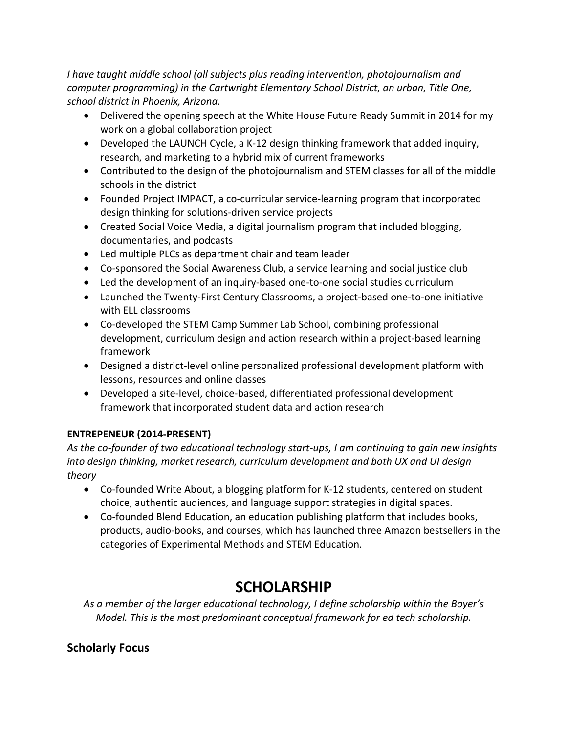*I have taught middle school (all subjects plus reading intervention, photojournalism and computer programming) in the Cartwright Elementary School District, an urban, Title One, school district in Phoenix, Arizona.* 

- Delivered the opening speech at the White House Future Ready Summit in 2014 for my work on a global collaboration project
- Developed the LAUNCH Cycle, a K-12 design thinking framework that added inquiry, research, and marketing to a hybrid mix of current frameworks
- Contributed to the design of the photojournalism and STEM classes for all of the middle schools in the district
- Founded Project IMPACT, a co-curricular service-learning program that incorporated design thinking for solutions-driven service projects
- Created Social Voice Media, a digital journalism program that included blogging, documentaries, and podcasts
- Led multiple PLCs as department chair and team leader
- Co-sponsored the Social Awareness Club, a service learning and social justice club
- Led the development of an inquiry-based one-to-one social studies curriculum
- Launched the Twenty-First Century Classrooms, a project-based one-to-one initiative with ELL classrooms
- Co-developed the STEM Camp Summer Lab School, combining professional development, curriculum design and action research within a project-based learning framework
- Designed a district-level online personalized professional development platform with lessons, resources and online classes
- Developed a site-level, choice-based, differentiated professional development framework that incorporated student data and action research

#### **ENTREPENEUR (2014-PRESENT)**

*As the co-founder of two educational technology start-ups, I am continuing to gain new insights into design thinking, market research, curriculum development and both UX and UI design theory*

- Co-founded Write About, a blogging platform for K-12 students, centered on student choice, authentic audiences, and language support strategies in digital spaces.
- Co-founded Blend Education, an education publishing platform that includes books, products, audio-books, and courses, which has launched three Amazon bestsellers in the categories of Experimental Methods and STEM Education.

## **SCHOLARSHIP**

*As a member of the larger educational technology, I define scholarship within the Boyer's Model. This is the most predominant conceptual framework for ed tech scholarship.*

## **Scholarly Focus**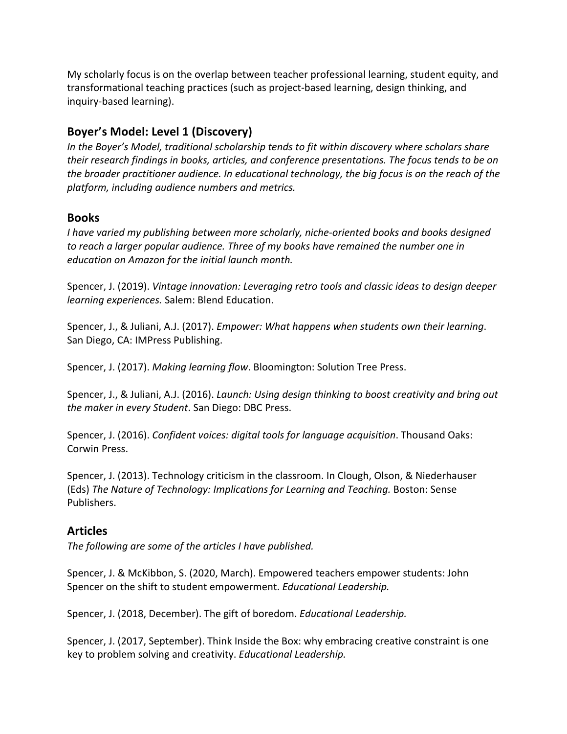My scholarly focus is on the overlap between teacher professional learning, student equity, and transformational teaching practices (such as project-based learning, design thinking, and inquiry-based learning).

### **Boyer's Model: Level 1 (Discovery)**

*In the Boyer's Model, traditional scholarship tends to fit within discovery where scholars share their research findings in books, articles, and conference presentations. The focus tends to be on the broader practitioner audience. In educational technology, the big focus is on the reach of the platform, including audience numbers and metrics.* 

#### **Books**

*I have varied my publishing between more scholarly, niche-oriented books and books designed to reach a larger popular audience. Three of my books have remained the number one in education on Amazon for the initial launch month.* 

Spencer, J. (2019). *Vintage innovation: Leveraging retro tools and classic ideas to design deeper learning experiences.* Salem: Blend Education.

Spencer, J., & Juliani, A.J. (2017). *Empower: What happens when students own their learning*. San Diego, CA: IMPress Publishing.

Spencer, J. (2017). *Making learning flow*. Bloomington: Solution Tree Press.

Spencer, J., & Juliani, A.J. (2016). *Launch: Using design thinking to boost creativity and bring out the maker in every Student*. San Diego: DBC Press.

Spencer, J. (2016). *Confident voices: digital tools for language acquisition*. Thousand Oaks: Corwin Press.

Spencer, J. (2013). Technology criticism in the classroom. In Clough, Olson, & Niederhauser (Eds) *The Nature of Technology: Implications for Learning and Teaching.* Boston: Sense Publishers.

#### **Articles**

*The following are some of the articles I have published.* 

Spencer, J. & McKibbon, S. (2020, March). Empowered teachers empower students: John Spencer on the shift to student empowerment. *Educational Leadership.* 

Spencer, J. (2018, December). The gift of boredom. *Educational Leadership.* 

Spencer, J. (2017, September). Think Inside the Box: why embracing creative constraint is one key to problem solving and creativity. *Educational Leadership.*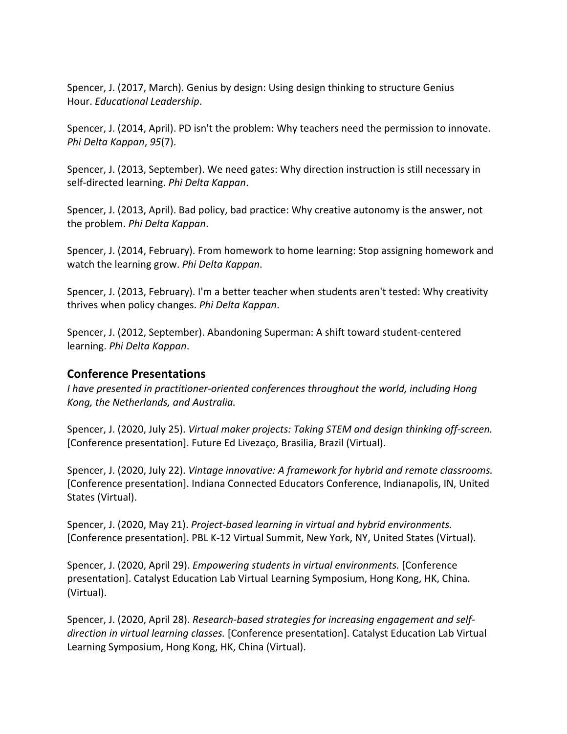Spencer, J. (2017, March). Genius by design: Using design thinking to structure Genius Hour. *Educational Leadership*.

Spencer, J. (2014, April). PD isn't the problem: Why teachers need the permission to innovate. *Phi Delta Kappan*, *95*(7).

Spencer, J. (2013, September). We need gates: Why direction instruction is still necessary in self-directed learning. *Phi Delta Kappan*.

Spencer, J. (2013, April). Bad policy, bad practice: Why creative autonomy is the answer, not the problem. *Phi Delta Kappan*.

Spencer, J. (2014, February). From homework to home learning: Stop assigning homework and watch the learning grow. *Phi Delta Kappan*.

Spencer, J. (2013, February). I'm a better teacher when students aren't tested: Why creativity thrives when policy changes. *Phi Delta Kappan*.

Spencer, J. (2012, September). Abandoning Superman: A shift toward student-centered learning. *Phi Delta Kappan*.

#### **Conference Presentations**

*I have presented in practitioner-oriented conferences throughout the world, including Hong Kong, the Netherlands, and Australia.* 

Spencer, J. (2020, July 25). *Virtual maker projects: Taking STEM and design thinking off-screen.* [Conference presentation]. Future Ed Livezaço, Brasilia, Brazil (Virtual).

Spencer, J. (2020, July 22). *Vintage innovative: A framework for hybrid and remote classrooms.*  [Conference presentation]. Indiana Connected Educators Conference, Indianapolis, IN, United States (Virtual).

Spencer, J. (2020, May 21). *Project-based learning in virtual and hybrid environments.* [Conference presentation]. PBL K-12 Virtual Summit, New York, NY, United States (Virtual).

Spencer, J. (2020, April 29). *Empowering students in virtual environments.* [Conference presentation]. Catalyst Education Lab Virtual Learning Symposium, Hong Kong, HK, China. (Virtual).

Spencer, J. (2020, April 28). *Research-based strategies for increasing engagement and selfdirection in virtual learning classes.* [Conference presentation]. Catalyst Education Lab Virtual Learning Symposium, Hong Kong, HK, China (Virtual).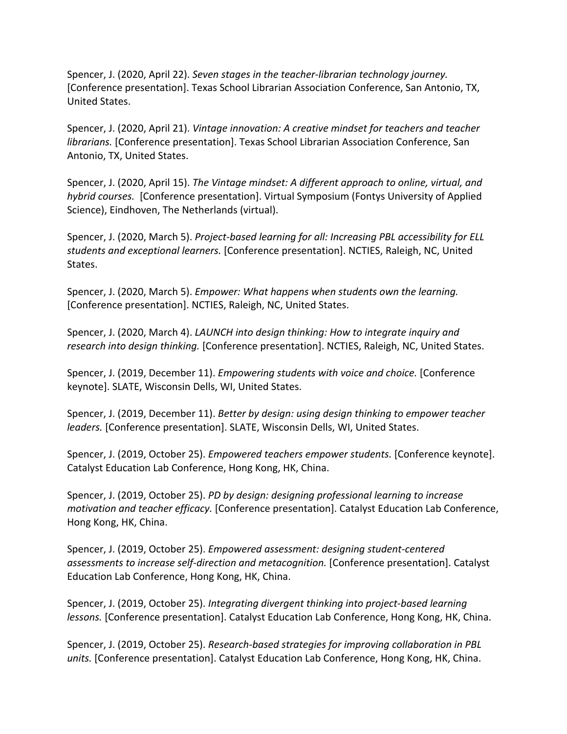Spencer, J. (2020, April 22). *Seven stages in the teacher-librarian technology journey.* [Conference presentation]. Texas School Librarian Association Conference, San Antonio, TX, United States.

Spencer, J. (2020, April 21). *Vintage innovation: A creative mindset for teachers and teacher librarians.* [Conference presentation]. Texas School Librarian Association Conference, San Antonio, TX, United States.

Spencer, J. (2020, April 15). *The Vintage mindset: A different approach to online, virtual, and hybrid courses.* [Conference presentation]. Virtual Symposium (Fontys University of Applied Science), Eindhoven, The Netherlands (virtual).

Spencer, J. (2020, March 5). *Project-based learning for all: Increasing PBL accessibility for ELL students and exceptional learners.* [Conference presentation]. NCTIES, Raleigh, NC, United States.

Spencer, J. (2020, March 5). *Empower: What happens when students own the learning.* [Conference presentation]. NCTIES, Raleigh, NC, United States.

Spencer, J. (2020, March 4). *LAUNCH into design thinking: How to integrate inquiry and research into design thinking.* [Conference presentation]. NCTIES, Raleigh, NC, United States.

Spencer, J. (2019, December 11). *Empowering students with voice and choice.* [Conference keynote]. SLATE, Wisconsin Dells, WI, United States.

Spencer, J. (2019, December 11). *Better by design: using design thinking to empower teacher leaders.* [Conference presentation]. SLATE, Wisconsin Dells, WI, United States.

Spencer, J. (2019, October 25). *Empowered teachers empower students.* [Conference keynote]. Catalyst Education Lab Conference, Hong Kong, HK, China.

Spencer, J. (2019, October 25). *PD by design: designing professional learning to increase motivation and teacher efficacy.* [Conference presentation]. Catalyst Education Lab Conference, Hong Kong, HK, China.

Spencer, J. (2019, October 25). *Empowered assessment: designing student-centered assessments to increase self-direction and metacognition.* [Conference presentation]. Catalyst Education Lab Conference, Hong Kong, HK, China.

Spencer, J. (2019, October 25). *Integrating divergent thinking into project-based learning lessons.* [Conference presentation]. Catalyst Education Lab Conference, Hong Kong, HK, China.

Spencer, J. (2019, October 25). *Research-based strategies for improving collaboration in PBL units.* [Conference presentation]. Catalyst Education Lab Conference, Hong Kong, HK, China.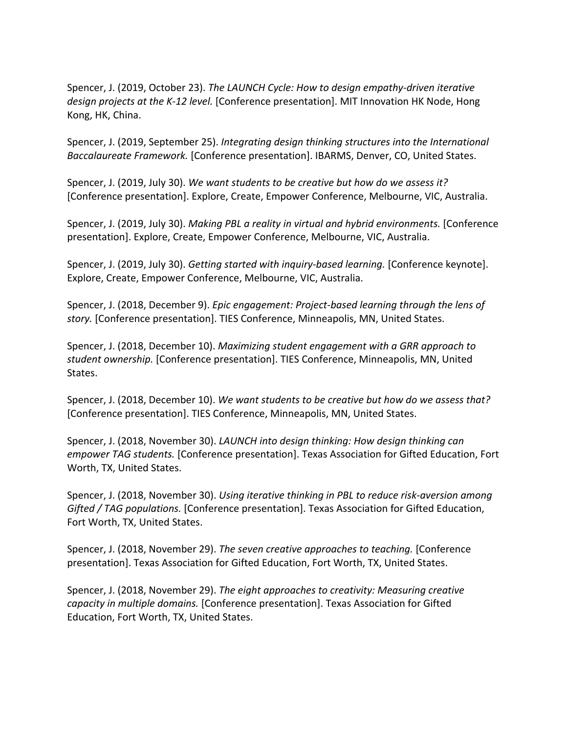Spencer, J. (2019, October 23). *The LAUNCH Cycle: How to design empathy-driven iterative design projects at the K-12 level.* [Conference presentation]. MIT Innovation HK Node, Hong Kong, HK, China.

Spencer, J. (2019, September 25). *Integrating design thinking structures into the International Baccalaureate Framework.* [Conference presentation]. IBARMS, Denver, CO, United States.

Spencer, J. (2019, July 30). *We want students to be creative but how do we assess it?*  [Conference presentation]. Explore, Create, Empower Conference, Melbourne, VIC, Australia.

Spencer, J. (2019, July 30). *Making PBL a reality in virtual and hybrid environments.* [Conference presentation]. Explore, Create, Empower Conference, Melbourne, VIC, Australia.

Spencer, J. (2019, July 30). *Getting started with inquiry-based learning.* [Conference keynote]. Explore, Create, Empower Conference, Melbourne, VIC, Australia.

Spencer, J. (2018, December 9). *Epic engagement: Project-based learning through the lens of story.* [Conference presentation]. TIES Conference, Minneapolis, MN, United States.

Spencer, J. (2018, December 10). *Maximizing student engagement with a GRR approach to student ownership.* [Conference presentation]. TIES Conference, Minneapolis, MN, United States.

Spencer, J. (2018, December 10). *We want students to be creative but how do we assess that?*  [Conference presentation]. TIES Conference, Minneapolis, MN, United States.

Spencer, J. (2018, November 30). *LAUNCH into design thinking: How design thinking can empower TAG students.* [Conference presentation]. Texas Association for Gifted Education, Fort Worth, TX, United States.

Spencer, J. (2018, November 30). *Using iterative thinking in PBL to reduce risk-aversion among Gifted / TAG populations.* [Conference presentation]. Texas Association for Gifted Education, Fort Worth, TX, United States.

Spencer, J. (2018, November 29). *The seven creative approaches to teaching.* [Conference presentation]. Texas Association for Gifted Education, Fort Worth, TX, United States.

Spencer, J. (2018, November 29). *The eight approaches to creativity: Measuring creative capacity in multiple domains.* [Conference presentation]. Texas Association for Gifted Education, Fort Worth, TX, United States.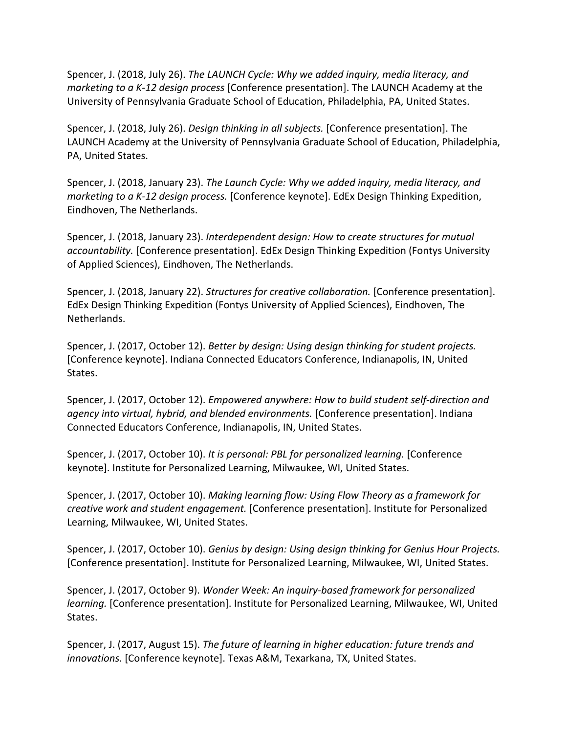Spencer, J. (2018, July 26). *The LAUNCH Cycle: Why we added inquiry, media literacy, and marketing to a K-12 design process* [Conference presentation]. The LAUNCH Academy at the University of Pennsylvania Graduate School of Education, Philadelphia, PA, United States.

Spencer, J. (2018, July 26). *Design thinking in all subjects.* [Conference presentation]. The LAUNCH Academy at the University of Pennsylvania Graduate School of Education, Philadelphia, PA, United States.

Spencer, J. (2018, January 23). *The Launch Cycle: Why we added inquiry, media literacy, and marketing to a K-12 design process.* [Conference keynote]. EdEx Design Thinking Expedition, Eindhoven, The Netherlands.

Spencer, J. (2018, January 23). *Interdependent design: How to create structures for mutual accountability.* [Conference presentation]. EdEx Design Thinking Expedition (Fontys University of Applied Sciences), Eindhoven, The Netherlands.

Spencer, J. (2018, January 22). *Structures for creative collaboration.* [Conference presentation]. EdEx Design Thinking Expedition (Fontys University of Applied Sciences), Eindhoven, The Netherlands.

Spencer, J. (2017, October 12). *Better by design: Using design thinking for student projects.*  [Conference keynote]. Indiana Connected Educators Conference, Indianapolis, IN, United States.

Spencer, J. (2017, October 12). *Empowered anywhere: How to build student self-direction and agency into virtual, hybrid, and blended environments.* [Conference presentation]. Indiana Connected Educators Conference, Indianapolis, IN, United States.

Spencer, J. (2017, October 10). *It is personal: PBL for personalized learning.* [Conference keynote]. Institute for Personalized Learning, Milwaukee, WI, United States.

Spencer, J. (2017, October 10). *Making learning flow: Using Flow Theory as a framework for creative work and student engagement.* [Conference presentation]. Institute for Personalized Learning, Milwaukee, WI, United States.

Spencer, J. (2017, October 10). *Genius by design: Using design thinking for Genius Hour Projects.*  [Conference presentation]. Institute for Personalized Learning, Milwaukee, WI, United States.

Spencer, J. (2017, October 9). *Wonder Week: An inquiry-based framework for personalized learning.* [Conference presentation]. Institute for Personalized Learning, Milwaukee, WI, United States.

Spencer, J. (2017, August 15). *The future of learning in higher education: future trends and innovations.* [Conference keynote]. Texas A&M, Texarkana, TX, United States.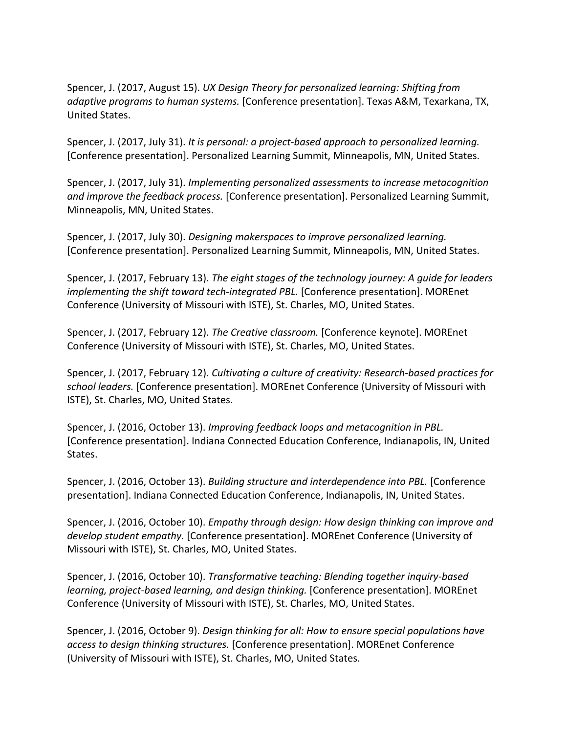Spencer, J. (2017, August 15). *UX Design Theory for personalized learning: Shifting from adaptive programs to human systems.* [Conference presentation]. Texas A&M, Texarkana, TX, United States.

Spencer, J. (2017, July 31). *It is personal: a project-based approach to personalized learning.*  [Conference presentation]. Personalized Learning Summit, Minneapolis, MN, United States.

Spencer, J. (2017, July 31). *Implementing personalized assessments to increase metacognition and improve the feedback process.* [Conference presentation]. Personalized Learning Summit, Minneapolis, MN, United States.

Spencer, J. (2017, July 30). *Designing makerspaces to improve personalized learning.*  [Conference presentation]. Personalized Learning Summit, Minneapolis, MN, United States.

Spencer, J. (2017, February 13). *The eight stages of the technology journey: A guide for leaders implementing the shift toward tech-integrated PBL.* [Conference presentation]. MOREnet Conference (University of Missouri with ISTE), St. Charles, MO, United States.

Spencer, J. (2017, February 12). *The Creative classroom.* [Conference keynote]. MOREnet Conference (University of Missouri with ISTE), St. Charles, MO, United States.

Spencer, J. (2017, February 12). *Cultivating a culture of creativity: Research-based practices for school leaders.* [Conference presentation]. MOREnet Conference (University of Missouri with ISTE), St. Charles, MO, United States.

Spencer, J. (2016, October 13). *Improving feedback loops and metacognition in PBL.*  [Conference presentation]. Indiana Connected Education Conference, Indianapolis, IN, United States.

Spencer, J. (2016, October 13). *Building structure and interdependence into PBL.* [Conference presentation]. Indiana Connected Education Conference, Indianapolis, IN, United States.

Spencer, J. (2016, October 10). *Empathy through design: How design thinking can improve and develop student empathy.* [Conference presentation]. MOREnet Conference (University of Missouri with ISTE), St. Charles, MO, United States.

Spencer, J. (2016, October 10). *Transformative teaching: Blending together inquiry-based learning, project-based learning, and design thinking.* [Conference presentation]. MOREnet Conference (University of Missouri with ISTE), St. Charles, MO, United States.

Spencer, J. (2016, October 9). *Design thinking for all: How to ensure special populations have access to design thinking structures.* [Conference presentation]. MOREnet Conference (University of Missouri with ISTE), St. Charles, MO, United States.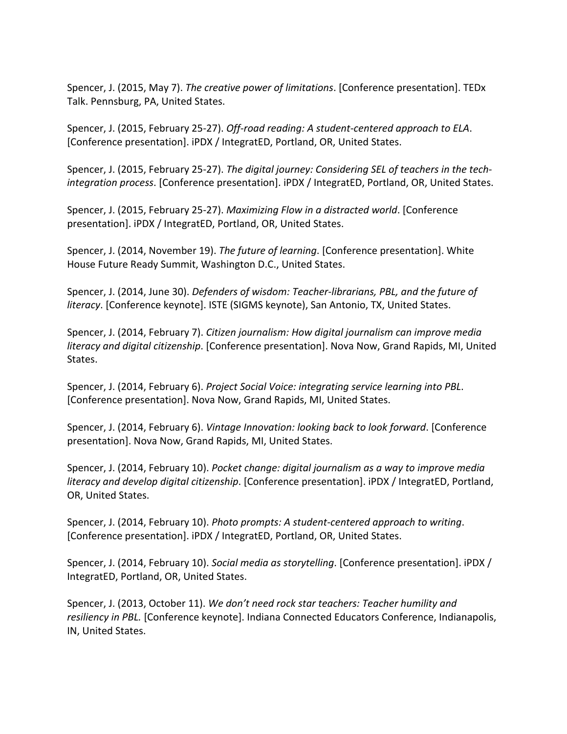Spencer, J. (2015, May 7). *The creative power of limitations*. [Conference presentation]. TEDx Talk. Pennsburg, PA, United States.

Spencer, J. (2015, February 25-27). *Off-road reading: A student-centered approach to ELA*. [Conference presentation]. iPDX / IntegratED, Portland, OR, United States.

Spencer, J. (2015, February 25-27). *The digital journey: Considering SEL of teachers in the techintegration process*. [Conference presentation]. iPDX / IntegratED, Portland, OR, United States.

Spencer, J. (2015, February 25-27). *Maximizing Flow in a distracted world*. [Conference presentation]. iPDX / IntegratED, Portland, OR, United States.

Spencer, J. (2014, November 19). *The future of learning*. [Conference presentation]. White House Future Ready Summit, Washington D.C., United States.

Spencer, J. (2014, June 30). *Defenders of wisdom: Teacher-librarians, PBL, and the future of literacy*. [Conference keynote]. ISTE (SIGMS keynote), San Antonio, TX, United States.

Spencer, J. (2014, February 7). *Citizen journalism: How digital journalism can improve media literacy and digital citizenship*. [Conference presentation]. Nova Now, Grand Rapids, MI, United States.

Spencer, J. (2014, February 6). *Project Social Voice: integrating service learning into PBL*. [Conference presentation]. Nova Now, Grand Rapids, MI, United States.

Spencer, J. (2014, February 6). *Vintage Innovation: looking back to look forward*. [Conference presentation]. Nova Now, Grand Rapids, MI, United States.

Spencer, J. (2014, February 10). *Pocket change: digital journalism as a way to improve media literacy and develop digital citizenship*. [Conference presentation]. iPDX / IntegratED, Portland, OR, United States.

Spencer, J. (2014, February 10). *Photo prompts: A student-centered approach to writing*. [Conference presentation]. iPDX / IntegratED, Portland, OR, United States.

Spencer, J. (2014, February 10). *Social media as storytelling*. [Conference presentation]. iPDX / IntegratED, Portland, OR, United States.

Spencer, J. (2013, October 11). *We don't need rock star teachers: Teacher humility and resiliency in PBL.* [Conference keynote]. Indiana Connected Educators Conference, Indianapolis, IN, United States.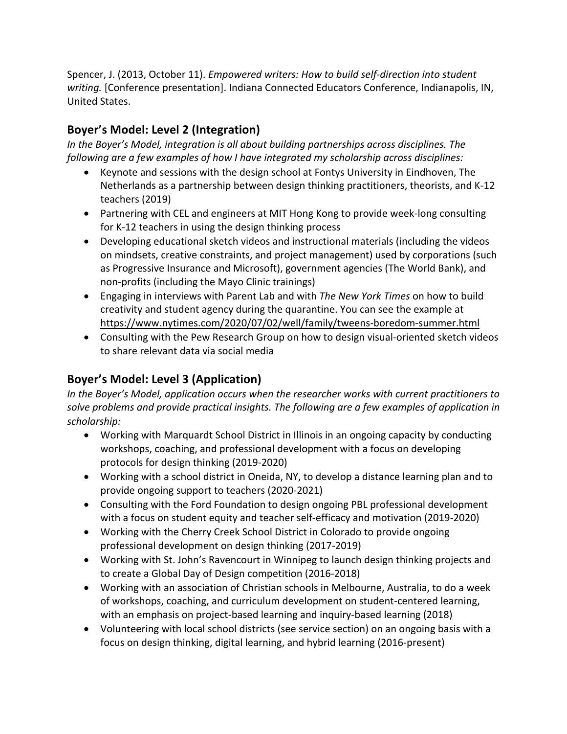Spencer, J. (2013, October 11). *Empowered writers: How to build self-direction into student writing.* [Conference presentation]. Indiana Connected Educators Conference, Indianapolis, IN, United States.

## **Boyer's Model: Level 2 (Integration)**

*In the Boyer's Model, integration is all about building partnerships across disciplines. The following are a few examples of how I have integrated my scholarship across disciplines:*

- Keynote and sessions with the design school at Fontys University in Eindhoven, The Netherlands as a partnership between design thinking practitioners, theorists, and K-12 teachers (2019)
- Partnering with CEL and engineers at MIT Hong Kong to provide week-long consulting for K-12 teachers in using the design thinking process
- Developing educational sketch videos and instructional materials (including the videos on mindsets, creative constraints, and project management) used by corporations (such as Progressive Insurance and Microsoft), government agencies (The World Bank), and non-profits (including the Mayo Clinic trainings)
- Engaging in interviews with Parent Lab and with *The New York Times* on how to build creativity and student agency during the quarantine. You can see the example at https://www.nytimes.com/2020/07/02/well/family/tweens-boredom-summer.html
- Consulting with the Pew Research Group on how to design visual-oriented sketch videos to share relevant data via social media

## **Boyer's Model: Level 3 (Application)**

*In the Boyer's Model, application occurs when the researcher works with current practitioners to solve problems and provide practical insights. The following are a few examples of application in scholarship:*

- Working with Marquardt School District in Illinois in an ongoing capacity by conducting workshops, coaching, and professional development with a focus on developing protocols for design thinking (2019-2020)
- Working with a school district in Oneida, NY, to develop a distance learning plan and to provide ongoing support to teachers (2020-2021)
- Consulting with the Ford Foundation to design ongoing PBL professional development with a focus on student equity and teacher self-efficacy and motivation (2019-2020)
- Working with the Cherry Creek School District in Colorado to provide ongoing professional development on design thinking (2017-2019)
- Working with St. John's Ravencourt in Winnipeg to launch design thinking projects and to create a Global Day of Design competition (2016-2018)
- Working with an association of Christian schools in Melbourne, Australia, to do a week of workshops, coaching, and curriculum development on student-centered learning, with an emphasis on project-based learning and inquiry-based learning (2018)
- Volunteering with local school districts (see service section) on an ongoing basis with a focus on design thinking, digital learning, and hybrid learning (2016-present)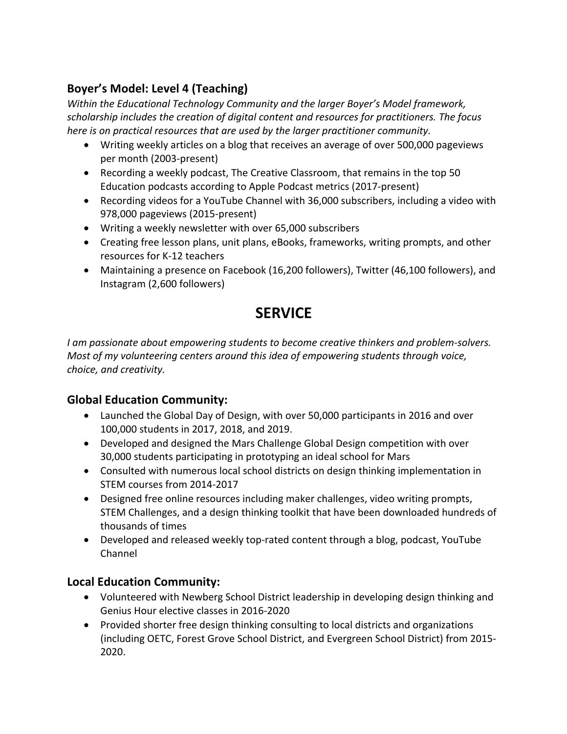## **Boyer's Model: Level 4 (Teaching)**

*Within the Educational Technology Community and the larger Boyer's Model framework, scholarship includes the creation of digital content and resources for practitioners. The focus here is on practical resources that are used by the larger practitioner community.* 

- Writing weekly articles on a blog that receives an average of over 500,000 pageviews per month (2003-present)
- Recording a weekly podcast, The Creative Classroom, that remains in the top 50 Education podcasts according to Apple Podcast metrics (2017-present)
- Recording videos for a YouTube Channel with 36,000 subscribers, including a video with 978,000 pageviews (2015-present)
- Writing a weekly newsletter with over 65,000 subscribers
- Creating free lesson plans, unit plans, eBooks, frameworks, writing prompts, and other resources for K-12 teachers
- Maintaining a presence on Facebook (16,200 followers), Twitter (46,100 followers), and Instagram (2,600 followers)

## **SERVICE**

*I am passionate about empowering students to become creative thinkers and problem-solvers. Most of my volunteering centers around this idea of empowering students through voice, choice, and creativity.* 

## **Global Education Community:**

- Launched the Global Day of Design, with over 50,000 participants in 2016 and over 100,000 students in 2017, 2018, and 2019.
- Developed and designed the Mars Challenge Global Design competition with over 30,000 students participating in prototyping an ideal school for Mars
- Consulted with numerous local school districts on design thinking implementation in STEM courses from 2014-2017
- Designed free online resources including maker challenges, video writing prompts, STEM Challenges, and a design thinking toolkit that have been downloaded hundreds of thousands of times
- Developed and released weekly top-rated content through a blog, podcast, YouTube Channel

## **Local Education Community:**

- Volunteered with Newberg School District leadership in developing design thinking and Genius Hour elective classes in 2016-2020
- Provided shorter free design thinking consulting to local districts and organizations (including OETC, Forest Grove School District, and Evergreen School District) from 2015- 2020.